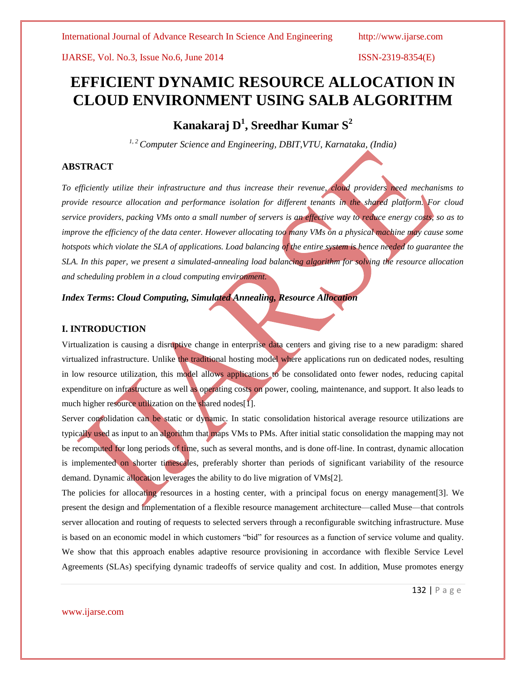# **EFFICIENT DYNAMIC RESOURCE ALLOCATION IN CLOUD ENVIRONMENT USING SALB ALGORITHM**

**Kanakaraj D<sup>1</sup> , Sreedhar Kumar S<sup>2</sup>**

*1, 2Computer Science and Engineering, DBIT,VTU, Karnataka, (India)*

# **ABSTRACT**

*To efficiently utilize their infrastructure and thus increase their revenue, cloud providers need mechanisms to provide resource allocation and performance isolation for different tenants in the shared platform. For cloud service providers, packing VMs onto a small number of servers is an effective way to reduce energy costs, so as to improve the efficiency of the data center. However allocating too many VMs on a physical machine may cause some hotspots which violate the SLA of applications. Load balancing of the entire system is hence needed to guarantee the SLA. In this paper, we present a simulated-annealing load balancing algorithm for solving the resource allocation and scheduling problem in a cloud computing environment.* 

*Index Terms***:** *Cloud Computing, Simulated Annealing, Resource Allocation*

# **I. INTRODUCTION**

Virtualization is causing a disruptive change in enterprise data centers and giving rise to a new paradigm: shared virtualized infrastructure. Unlike the traditional hosting model where applications run on dedicated nodes, resulting in low resource utilization, this model allows applications to be consolidated onto fewer nodes, reducing capital expenditure on infrastructure as well as operating costs on power, cooling, maintenance, and support. It also leads to much higher resource utilization on the shared nodes[1].

Server consolidation can be static or dynamic. In static consolidation historical average resource utilizations are typically used as input to an algorithm that maps VMs to PMs. After initial static consolidation the mapping may not be recomputed for long periods of time, such as several months, and is done off-line. In contrast, dynamic allocation is implemented on shorter timescales, preferably shorter than periods of significant variability of the resource demand. Dynamic allocation leverages the ability to do live migration of VMs[2].

The policies for allocating resources in a hosting center, with a principal focus on energy management[3]. We present the design and implementation of a flexible resource management architecture—called Muse—that controls server allocation and routing of requests to selected servers through a reconfigurable switching infrastructure. Muse is based on an economic model in which customers "bid" for resources as a function of service volume and quality. We show that this approach enables adaptive resource provisioning in accordance with flexible Service Level Agreements (SLAs) specifying dynamic tradeoffs of service quality and cost. In addition, Muse promotes energy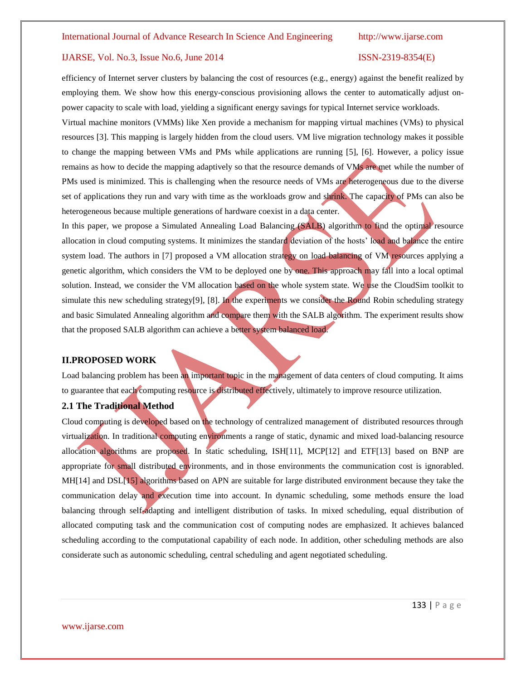efficiency of Internet server clusters by balancing the cost of resources (e.g., energy) against the benefit realized by employing them. We show how this energy-conscious provisioning allows the center to automatically adjust onpower capacity to scale with load, yielding a significant energy savings for typical Internet service workloads.

Virtual machine monitors (VMMs) like Xen provide a mechanism for mapping virtual machines (VMs) to physical resources [3]. This mapping is largely hidden from the cloud users. VM live migration technology makes it possible to change the mapping between VMs and PMs while applications are running [5], [6]. However, a policy issue remains as how to decide the mapping adaptively so that the resource demands of VMs are met while the number of PMs used is minimized. This is challenging when the resource needs of VMs are heterogeneous due to the diverse set of applications they run and vary with time as the workloads grow and shrink. The capacity of PMs can also be heterogeneous because multiple generations of hardware coexist in a data center.

In this paper, we propose a Simulated Annealing Load Balancing (SALB) algorithm to find the optimal resource allocation in cloud computing systems. It minimizes the standard deviation of the hosts' load and balance the entire system load. The authors in [7] proposed a VM allocation strategy on load balancing of VM resources applying a genetic algorithm, which considers the VM to be deployed one by one. This approach may fall into a local optimal solution. Instead, we consider the VM allocation based on the whole system state. We use the CloudSim toolkit to simulate this new scheduling strategy[9], [8]. In the experiments we consider the Round Robin scheduling strategy and basic Simulated Annealing algorithm and compare them with the SALB algorithm. The experiment results show that the proposed SALB algorithm can achieve a better system balanced load.

# **II.PROPOSED WORK**

Load balancing problem has been an important topic in the management of data centers of cloud computing. It aims to guarantee that each computing resource is distributed effectively, ultimately to improve resource utilization.

# **2.1 The Traditional Method**

Cloud computing is developed based on the technology of centralized management of distributed resources through virtualization. In traditional computing environments a range of static, dynamic and mixed load-balancing resource allocation algorithms are proposed. In static scheduling, ISH[11], MCP[12] and ETF[13] based on BNP are appropriate for small distributed environments, and in those environments the communication cost is ignorabled. MH[14] and DSL[15] algorithms based on APN are suitable for large distributed environment because they take the communication delay and execution time into account. In dynamic scheduling, some methods ensure the load balancing through self-adapting and intelligent distribution of tasks. In mixed scheduling, equal distribution of allocated computing task and the communication cost of computing nodes are emphasized. It achieves balanced scheduling according to the computational capability of each node. In addition, other scheduling methods are also considerate such as autonomic scheduling, central scheduling and agent negotiated scheduling.

www.ijarse.com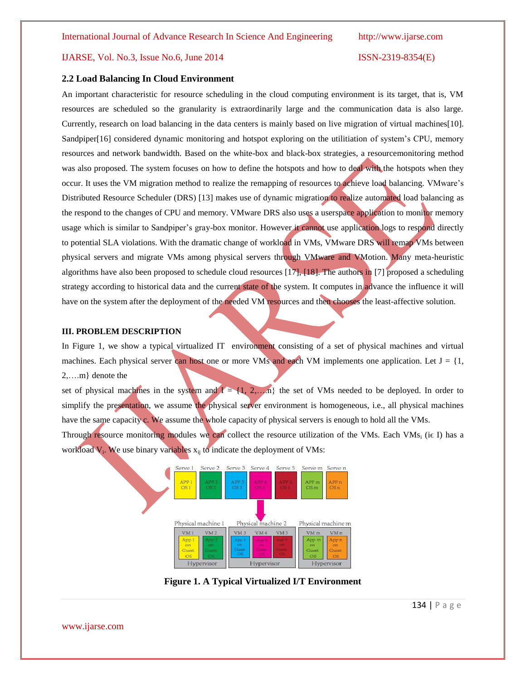# **2.2 Load Balancing In Cloud Environment**

An important characteristic for resource scheduling in the cloud computing environment is its target, that is, VM resources are scheduled so the granularity is extraordinarily large and the communication data is also large. Currently, research on load balancing in the data centers is mainly based on live migration of virtual machines[10]. Sandpiper[16] considered dynamic monitoring and hotspot exploring on the utilitiation of system's CPU, memory resources and network bandwidth. Based on the white-box and black-box strategies, a resourcemonitoring method was also proposed. The system focuses on how to define the hotspots and how to deal with the hotspots when they occur. It uses the VM migration method to realize the remapping of resources to achieve load balancing. VMware's Distributed Resource Scheduler (DRS) [13] makes use of dynamic migration to realize automated load balancing as the respond to the changes of CPU and memory. VMware DRS also uses a userspace application to monitor memory usage which is similar to Sandpiper's gray-box monitor. However it cannot use application logs to respond directly to potential SLA violations. With the dramatic change of workload in VMs, VMware DRS will remap VMs between physical servers and migrate VMs among physical servers through VMware and VMotion. Many meta-heuristic algorithms have also been proposed to schedule cloud resources [17], [18]. The authors in [7] proposed a scheduling strategy according to historical data and the current state of the system. It computes in advance the influence it will have on the system after the deployment of the needed VM resources and then chooses the least-affective solution.

# **III. PROBLEM DESCRIPTION**

In Figure 1, we show a typical virtualized IT environment consisting of a set of physical machines and virtual machines. Each physical server can host one or more VMs and each VM implements one application. Let  $J = \{1,$ 2,….m} denote the

set of physical machines in the system and  $I = \{1, 2,...,n\}$  the set of VMs needed to be deployed. In order to simplify the presentation, we assume the physical server environment is homogeneous, i.e., all physical machines have the same capacity c. We assume the whole capacity of physical servers is enough to hold all the VMs.

Through resource monitoring modules we can collect the resource utilization of the VMs. Each VMs<sub>i</sub> (i $\epsilon$  I) has a workload  $V_i$ . We use binary variables  $x_{ij}$  to indicate the deployment of VMs:



**Figure 1. A Typical Virtualized I/T Environment**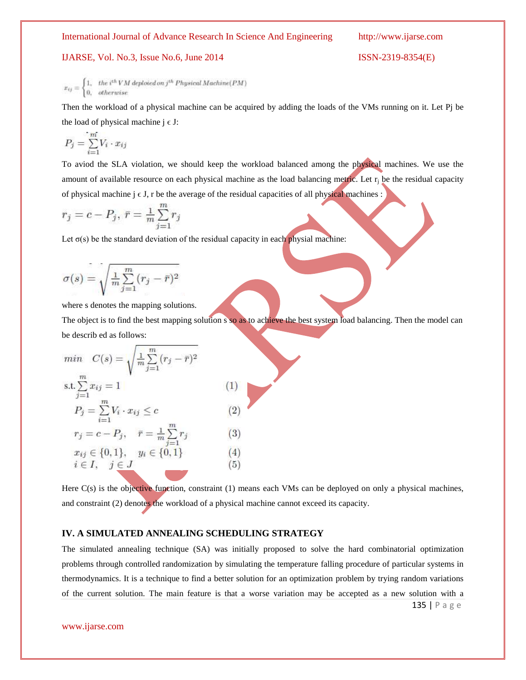IJARSE, Vol. No.3, Issue No.6, June 2014

www.ijarse.com

$$
x_{ij} = \begin{cases} 1, & \text{the } i^{in}VM \text{ deployed on } j^{in} \text{ Physical Machine} (PM) \\ 0, & \text{otherwise} \end{cases}
$$

Then the workload of a physical machine can be acquired by adding the loads of the VMs running on it. Let Pj be the load of physical machine  $j \in J$ :

$$
P_j = \sum_{i=1}^m V_i \cdot x_{ij}
$$

To aviod the SLA violation, we should keep the workload balanced among the physical machines. We use the amount of available resource on each physical machine as the load balancing metric. Let  $r_i$  be the residual capacity of physical machine  $j \in J$ , r be the average of the residual capacities of all physical machines :

$$
r_j = c - P_j, \ \bar{r} = \frac{1}{m} \sum_{j=1}^{m} r_j
$$

Let  $\sigma(s)$  be the standard deviation of the residual capacity in each physial machine:

$$
\sigma(s) = \sqrt{\tfrac{1}{m}\sum\limits_{j=1}^m(r_j-\bar{r})^2}
$$

where s denotes the mapping solutions.

The object is to find the best mapping solution s so as to achieve the best system load balancing. Then the model can be describ ed as follows:

min 
$$
C(s) = \sqrt{\frac{1}{m} \sum_{j=1}^{m} (r_j - \bar{r})^2}
$$
  
s.t.  $\sum_{j=1}^{m} x_{ij} = 1$  (1)  
 $P_j = \sum_{i=1}^{m} V_i \cdot x_{ij} \le c$  (2)  
 $r_j = c - P_j, \quad \bar{r} = \frac{1}{m} \sum_{j=1}^{m} r_j$  (3)  
 $x_{ij} \in \{0, 1\}, \quad y_i \in \{0, 1\}$  (4)  
 $i \in I, \quad j \in J$  (5)

Here  $C(s)$  is the objective function, constraint (1) means each VMs can be deployed on only a physical machines, and constraint (2) denotes the workload of a physical machine cannot exceed its capacity.

# **IV. A SIMULATED ANNEALING SCHEDULING STRATEGY**

135 | P a g e The simulated annealing technique (SA) was initially proposed to solve the hard combinatorial optimization problems through controlled randomization by simulating the temperature falling procedure of particular systems in thermodynamics. It is a technique to find a better solution for an optimization problem by trying random variations of the current solution. The main feature is that a worse variation may be accepted as a new solution with a

$$
ISSN-2319-8354(E)
$$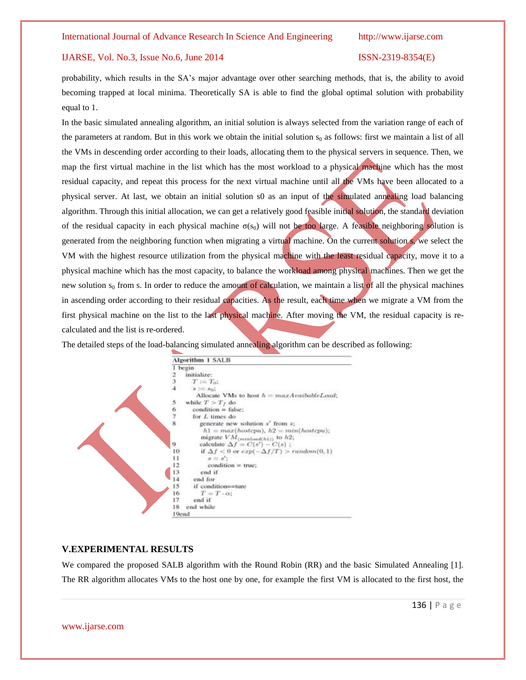### IJARSE, Vol. No.3, Issue No.6, June 2014 ISSN-2319-8354(E)

probability, which results in the SA's major advantage over other searching methods, that is, the ability to avoid becoming trapped at local minima. Theoretically SA is able to find the global optimal solution with probability equal to 1.

In the basic simulated annealing algorithm, an initial solution is always selected from the variation range of each of the parameters at random. But in this work we obtain the initial solution  $s_0$  as follows: first we maintain a list of all the VMs in descending order according to their loads, allocating them to the physical servers in sequence. Then, we map the first virtual machine in the list which has the most workload to a physical machine which has the most residual capacity, and repeat this process for the next virtual machine until all the VMs have been allocated to a physical server. At last, we obtain an initial solution s0 as an input of the simulated annealing load balancing algorithm. Through this initial allocation, we can get a relatively good feasible initial solution, the standard deviation of the residual capacity in each physical machine  $\sigma(s_0)$  will not be too large. A feasible neighboring solution is generated from the neighboring function when migrating a virtual machine. On the current solution s, we select the VM with the highest resource utilization from the physical machine with the least residual capacity, move it to a physical machine which has the most capacity, to balance the workload among physical machines. Then we get the new solution  $s_0$  from s. In order to reduce the amount of calculation, we maintain a list of all the physical machines in ascending order according to their residual capacities. As the result, each time when we migrate a VM from the first physical machine on the list to the last physical machine. After moving the VM, the residual capacity is recalculated and the list is re-ordered.

The detailed steps of the load-balancing simulated annealing algorithm can be described as following:



# **V.EXPERIMENTAL RESULTS**

We compared the proposed SALB algorithm with the Round Robin (RR) and the basic Simulated Annealing [1]. The RR algorithm allocates VMs to the host one by one, for example the first VM is allocated to the first host, the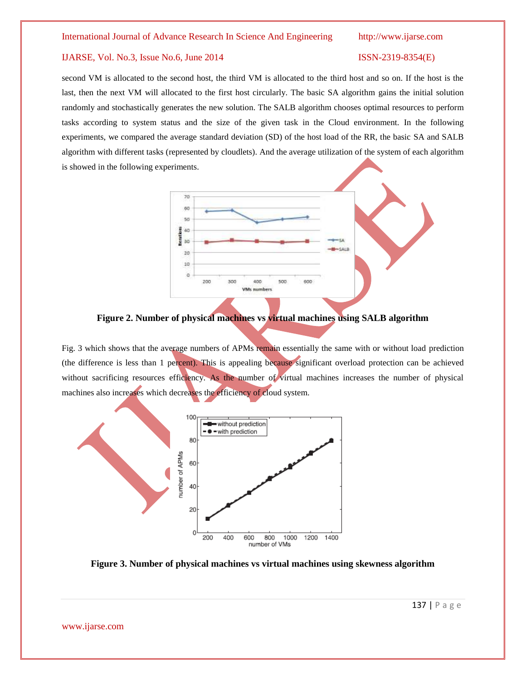second VM is allocated to the second host, the third VM is allocated to the third host and so on. If the host is the last, then the next VM will allocated to the first host circularly. The basic SA algorithm gains the initial solution randomly and stochastically generates the new solution. The SALB algorithm chooses optimal resources to perform tasks according to system status and the size of the given task in the Cloud environment. In the following experiments, we compared the average standard deviation (SD) of the host load of the RR, the basic SA and SALB algorithm with different tasks (represented by cloudlets). And the average utilization of the system of each algorithm is showed in the following experiments.



**Figure 2. Number of physical machines vs virtual machines using SALB algorithm**

Fig. 3 which shows that the average numbers of APMs remain essentially the same with or without load prediction (the difference is less than 1 percent). This is appealing because significant overload protection can be achieved without sacrificing resources efficiency. As the number of virtual machines increases the number of physical machines also increases which decreases the efficiency of cloud system.



**Figure 3. Number of physical machines vs virtual machines using skewness algorithm**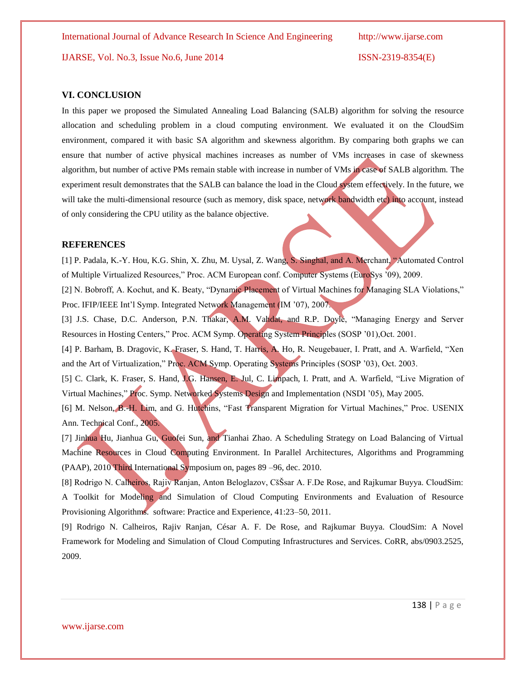IJARSE, Vol. No.3, Issue No.6, June 2014 ISSN-2319-8354(E)

### **VI. CONCLUSION**

In this paper we proposed the Simulated Annealing Load Balancing (SALB) algorithm for solving the resource allocation and scheduling problem in a cloud computing environment. We evaluated it on the CloudSim environment, compared it with basic SA algorithm and skewness algorithm. By comparing both graphs we can ensure that number of active physical machines increases as number of VMs increases in case of skewness algorithm, but number of active PMs remain stable with increase in number of VMs in case of SALB algorithm. The experiment result demonstrates that the SALB can balance the load in the Cloud system effectively. In the future, we will take the multi-dimensional resource (such as memory, disk space, network bandwidth etc) into account, instead of only considering the CPU utility as the balance objective.

### **REFERENCES**

[1] P. Padala, K.-Y. Hou, K.G. Shin, X. Zhu, M. Uysal, Z. Wang, S. Singhal, and A. Merchant, "Automated Control of Multiple Virtualized Resources,‖ Proc. ACM European conf. Computer Systems (EuroSys '09), 2009.

[2] N. Bobroff, A. Kochut, and K. Beaty, "Dynamic Placement of Virtual Machines for Managing SLA Violations," Proc. IFIP/IEEE Int'l Symp. Integrated Network Management (IM '07), 2007.

[3] J.S. Chase, D.C. Anderson, P.N. Thakar, A.M. Vahdat, and R.P. Doyle, "Managing Energy and Server Resources in Hosting Centers," Proc. ACM Symp. Operating System Principles (SOSP '01), Oct. 2001.

[4] P. Barham, B. Dragovic, K. Fraser, S. Hand, T. Harris, A. Ho, R. Neugebauer, I. Pratt, and A. Warfield, "Xen and the Art of Virtualization," Proc. ACM Symp. Operating Systems Principles (SOSP '03), Oct. 2003.

[5] C. Clark, K. Fraser, S. Hand, J.G. Hansen, E. Jul, C. Limpach, I. Pratt, and A. Warfield, "Live Migration of Virtual Machines," Proc. Symp. Networked Systems Design and Implementation (NSDI '05), May 2005.

[6] M. Nelson, B.-H. Lim, and G. Hutchins, "Fast Transparent Migration for Virtual Machines," Proc. USENIX Ann. Technical Conf., 2005.

[7] Jinhua Hu, Jianhua Gu, Guofei Sun, and Tianhai Zhao. A Scheduling Strategy on Load Balancing of Virtual Machine Resources in Cloud Computing Environment. In Parallel Architectures, Algorithms and Programming (PAAP), 2010 Third International Symposium on, pages 89 –96, dec. 2010.

[8] Rodrigo N. Calheiros, Rajiv Ranjan, Anton Beloglazov, CšŠsar A. F.De Rose, and Rajkumar Buyya. CloudSim: A Toolkit for Modeling and Simulation of Cloud Computing Environments and Evaluation of Resource Provisioning Algorithms. software: Practice and Experience, 41:23–50, 2011.

[9] Rodrigo N. Calheiros, Rajiv Ranjan, César A. F. De Rose, and Rajkumar Buyya. CloudSim: A Novel Framework for Modeling and Simulation of Cloud Computing Infrastructures and Services. CoRR, abs/0903.2525, 2009.